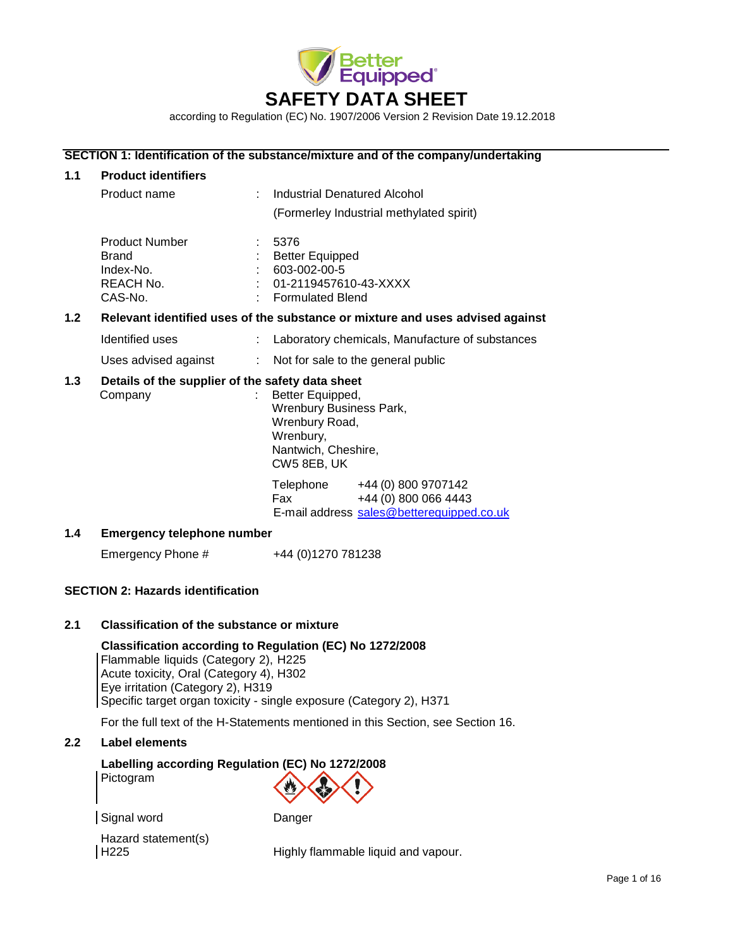

according to Regulation (EC) No. 1907/2006 Version 2 Revision Date 19.12.2018

# **SECTION 1: Identification of the substance/mixture and of the company/undertaking**

| 1.1              | <b>Product identifiers</b>                                                 |                                                                                                                     |  |
|------------------|----------------------------------------------------------------------------|---------------------------------------------------------------------------------------------------------------------|--|
|                  | Product name                                                               | Industrial Denatured Alcohol                                                                                        |  |
|                  |                                                                            | (Formerley Industrial methylated spirit)                                                                            |  |
|                  | <b>Product Number</b><br><b>Brand</b><br>Index-No.<br>REACH No.<br>CAS-No. | 5376<br><b>Better Equipped</b><br>603-002-00-5<br>01-2119457610-43-XXXX<br><b>Formulated Blend</b>                  |  |
| 1.2 <sub>2</sub> |                                                                            | Relevant identified uses of the substance or mixture and uses advised against                                       |  |
|                  | Identified uses                                                            | Laboratory chemicals, Manufacture of substances                                                                     |  |
|                  | Uses advised against<br>÷.                                                 | Not for sale to the general public                                                                                  |  |
| 1.3              | Details of the supplier of the safety data sheet<br>Company                | Better Equipped,<br>Wrenbury Business Park,<br>Wrenbury Road,<br>Wrenbury,<br>Nantwich, Cheshire,<br>CW5 8EB, UK    |  |
|                  |                                                                            | Telephone<br>+44 (0) 800 9707142<br>+44 (0) 800 066 4443<br><b>Fax</b><br>E-mail address sales@betterequipped.co.uk |  |
| 1.4              | <b>Emergency telephone number</b>                                          |                                                                                                                     |  |

Emergency Phone #  $+44 (0)1270 781238$ 

# **SECTION 2: Hazards identification**

# **2.1 Classification of the substance or mixture**

# **Classification according to Regulation (EC) No 1272/2008**

Flammable liquids (Category 2), H225 Acute toxicity, Oral (Category 4), H302 Eye irritation (Category 2), H319 Specific target organ toxicity - single exposure (Category 2), H371

For the full text of the H-Statements mentioned in this Section, see Section 16.

# **2.2 Label elements**

# **Labelling according Regulation (EC) No 1272/2008**

Pictogram



Signal word Danger

Hazard statement(s) H225 Highly flammable liquid and vapour.

Page 1 of 16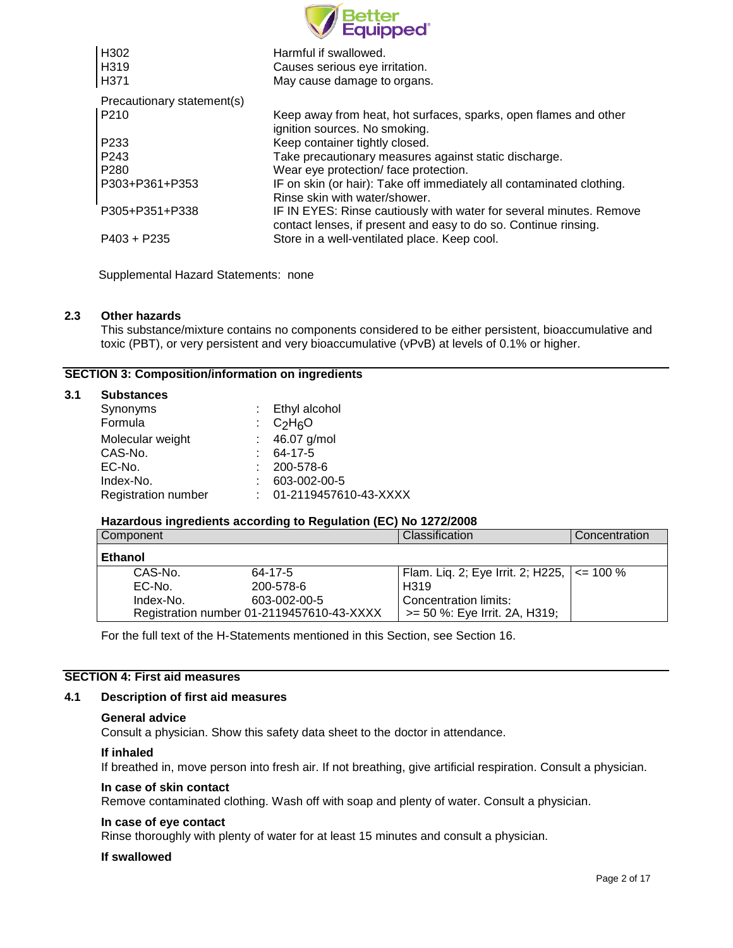|                            | Better<br>Eauipped°                                                                                                                    |
|----------------------------|----------------------------------------------------------------------------------------------------------------------------------------|
| H302                       | Harmful if swallowed.                                                                                                                  |
| H319                       | Causes serious eye irritation.                                                                                                         |
| H371                       | May cause damage to organs.                                                                                                            |
| Precautionary statement(s) |                                                                                                                                        |
| P210                       | Keep away from heat, hot surfaces, sparks, open flames and other<br>ignition sources. No smoking.                                      |
| P233                       | Keep container tightly closed.                                                                                                         |
| P <sub>243</sub>           | Take precautionary measures against static discharge.                                                                                  |
| P280                       | Wear eye protection/face protection.                                                                                                   |
| P303+P361+P353             | IF on skin (or hair): Take off immediately all contaminated clothing.<br>Rinse skin with water/shower.                                 |
| P305+P351+P338             | IF IN EYES: Rinse cautiously with water for several minutes. Remove<br>contact lenses, if present and easy to do so. Continue rinsing. |
| $P403 + P235$              | Store in a well-ventilated place. Keep cool.                                                                                           |

Supplemental Hazard Statements: none

# **2.3 Other hazards**

**3.1 Substances**

This substance/mixture contains no components considered to be either persistent, bioaccumulative and toxic (PBT), or very persistent and very bioaccumulative (vPvB) at levels of 0.1% or higher.

# **SECTION 3: Composition/information on ingredients**

| <b>Substances</b>          |                       |
|----------------------------|-----------------------|
| Synonyms                   | : Ethyl alcohol       |
| Formula                    | : $C_2H_6O$           |
| Molecular weight           | 46.07 g/mol           |
| CAS-No.                    | 64-17-5               |
| EC-No.                     | 200-578-6             |
| Index-No.                  | 603-002-00-5          |
| <b>Registration number</b> | 01-2119457610-43-XXXX |

# **Hazardous ingredients according to Regulation (EC) No 1272/2008**

| Component      |                                           | Classification                                     | Concentration |
|----------------|-------------------------------------------|----------------------------------------------------|---------------|
| <b>Ethanol</b> |                                           |                                                    |               |
| CAS-No.        | $64 - 17 - 5$                             | Flam. Liq. 2; Eye Irrit. 2; H225, $\vert$ <= 100 % |               |
| EC-No.         | 200-578-6                                 | H319                                               |               |
| Index-No.      | 603-002-00-5                              | Concentration limits:                              |               |
|                | Registration number 01-2119457610-43-XXXX | >= 50 %: Eye Irrit. 2A, H319;                      |               |

For the full text of the H-Statements mentioned in this Section, see Section 16.

# **SECTION 4: First aid measures**

# **4.1 Description of first aid measures**

## **General advice**

Consult a physician. Show this safety data sheet to the doctor in attendance.

## **If inhaled**

If breathed in, move person into fresh air. If not breathing, give artificial respiration. Consult a physician.

# **In case of skin contact**

Remove contaminated clothing. Wash off with soap and plenty of water. Consult a physician.

# **In case of eye contact**

Rinse thoroughly with plenty of water for at least 15 minutes and consult a physician.

## **If swallowed**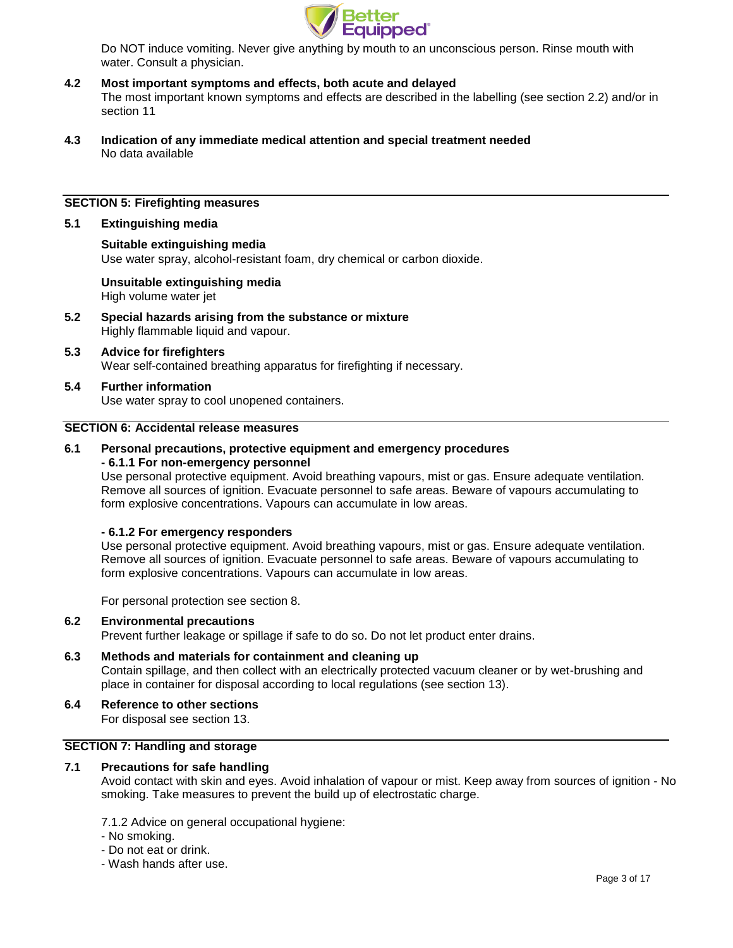

Do NOT induce vomiting. Never give anything by mouth to an unconscious person. Rinse mouth with water. Consult a physician.

- **4.2 Most important symptoms and effects, both acute and delayed** The most important known symptoms and effects are described in the labelling (see section 2.2) and/or in section 11
- **4.3 Indication of any immediate medical attention and special treatment needed** No data available

## **SECTION 5: Firefighting measures**

## **5.1 Extinguishing media**

## **Suitable extinguishing media** Use water spray, alcohol-resistant foam, dry chemical or carbon dioxide.

**Unsuitable extinguishing media** High volume water jet

- **5.2 Special hazards arising from the substance or mixture** Highly flammable liquid and vapour.
- **5.3 Advice for firefighters** Wear self-contained breathing apparatus for firefighting if necessary.

## **5.4 Further information**

Use water spray to cool unopened containers.

## **SECTION 6: Accidental release measures**

## **6.1 Personal precautions, protective equipment and emergency procedures - 6.1.1 For non-emergency personnel**

Use personal protective equipment. Avoid breathing vapours, mist or gas. Ensure adequate ventilation. Remove all sources of ignition. Evacuate personnel to safe areas. Beware of vapours accumulating to form explosive concentrations. Vapours can accumulate in low areas.

## **- 6.1.2 For emergency responders**

Use personal protective equipment. Avoid breathing vapours, mist or gas. Ensure adequate ventilation. Remove all sources of ignition. Evacuate personnel to safe areas. Beware of vapours accumulating to form explosive concentrations. Vapours can accumulate in low areas.

For personal protection see section 8.

## **6.2 Environmental precautions**

Prevent further leakage or spillage if safe to do so. Do not let product enter drains.

**6.3 Methods and materials for containment and cleaning up** Contain spillage, and then collect with an electrically protected vacuum cleaner or by wet-brushing and place in container for disposal according to local regulations (see section 13).

# **6.4 Reference to other sections**

For disposal see section 13.

## **SECTION 7: Handling and storage**

# **7.1 Precautions for safe handling**

Avoid contact with skin and eyes. Avoid inhalation of vapour or mist. Keep away from sources of ignition - No smoking. Take measures to prevent the build up of electrostatic charge.

7.1.2 Advice on general occupational hygiene:

- No smoking.
- Do not eat or drink.
- Wash hands after use.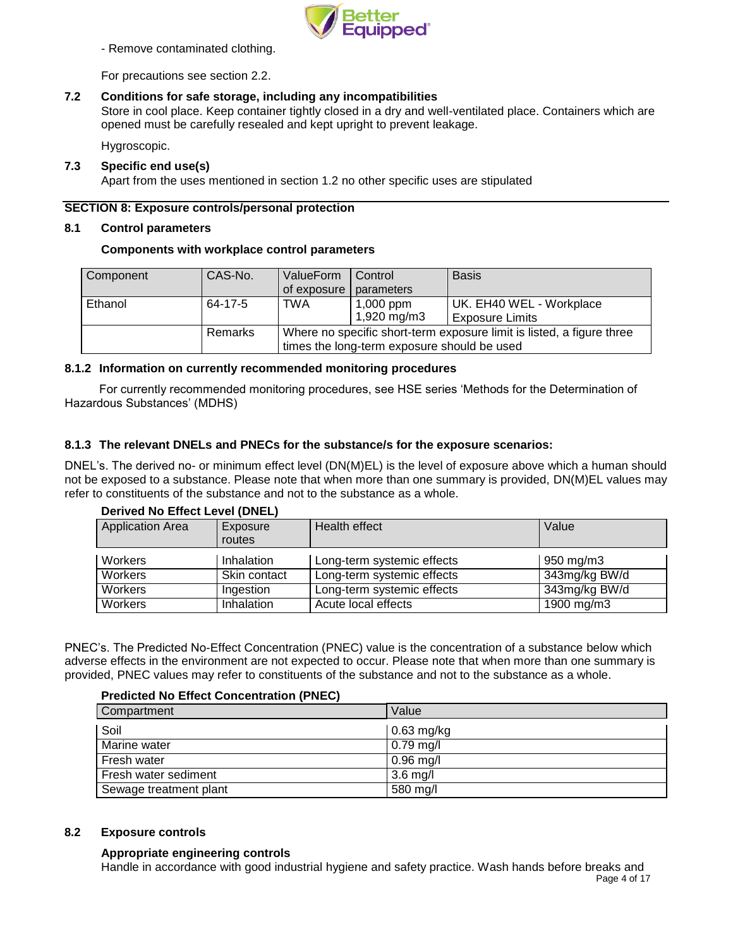

- Remove contaminated clothing.

For precautions see section 2.2.

# **7.2 Conditions for safe storage, including any incompatibilities**

Store in cool place. Keep container tightly closed in a dry and well-ventilated place. Containers which are opened must be carefully resealed and kept upright to prevent leakage.

Hygroscopic.

# **7.3 Specific end use(s)**

Apart from the uses mentioned in section 1.2 no other specific uses are stipulated

# **SECTION 8: Exposure controls/personal protection**

## **8.1 Control parameters**

## **Components with workplace control parameters**

| Component | CAS-No. | ValueForm                                                             | Control     | <b>Basis</b>             |
|-----------|---------|-----------------------------------------------------------------------|-------------|--------------------------|
|           |         | of exposure   parameters                                              |             |                          |
| Ethanol   | 64-17-5 | <b>TWA</b>                                                            | $1,000$ ppm | UK. EH40 WEL - Workplace |
|           |         |                                                                       | 1,920 mg/m3 | <b>Exposure Limits</b>   |
|           | Remarks | Where no specific short-term exposure limit is listed, a figure three |             |                          |
|           |         | times the long-term exposure should be used                           |             |                          |

## **8.1.2 Information on currently recommended monitoring procedures**

For currently recommended monitoring procedures, see HSE series 'Methods for the Determination of Hazardous Substances' (MDHS)

# **8.1.3 The relevant DNELs and PNECs for the substance/s for the exposure scenarios:**

DNEL's. The derived no- or minimum effect level (DN(M)EL) is the level of exposure above which a human should not be exposed to a substance. Please note that when more than one summary is provided, DN(M)EL values may refer to constituents of the substance and not to the substance as a whole.

## **Derived No Effect Level (DNEL)**

| <b>Application Area</b> | Exposure<br>routes | Health effect              | Value              |
|-------------------------|--------------------|----------------------------|--------------------|
| Workers                 | Inhalation         | Long-term systemic effects | $950 \text{ mg/m}$ |
| Workers                 | Skin contact       | Long-term systemic effects | 343mg/kg BW/d      |
| Workers                 | Ingestion          | Long-term systemic effects | 343mg/kg BW/d      |
| Workers                 | <b>Inhalation</b>  | Acute local effects        | 1900 mg/m3         |

PNEC's. The Predicted No-Effect Concentration (PNEC) value is the concentration of a substance below which adverse effects in the environment are not expected to occur. Please note that when more than one summary is provided, PNEC values may refer to constituents of the substance and not to the substance as a whole.

# **Predicted No Effect Concentration (PNEC)**

| Compartment            | Value        |
|------------------------|--------------|
| Soil                   | $0.63$ mg/kg |
| Marine water           | $0.79$ mg/l  |
| Fresh water            | $0.96$ mg/l  |
| Fresh water sediment   | $3.6$ mg/l   |
| Sewage treatment plant | 580 mg/l     |

# **8.2 Exposure controls**

# **Appropriate engineering controls**

Page 4 of 17 Handle in accordance with good industrial hygiene and safety practice. Wash hands before breaks and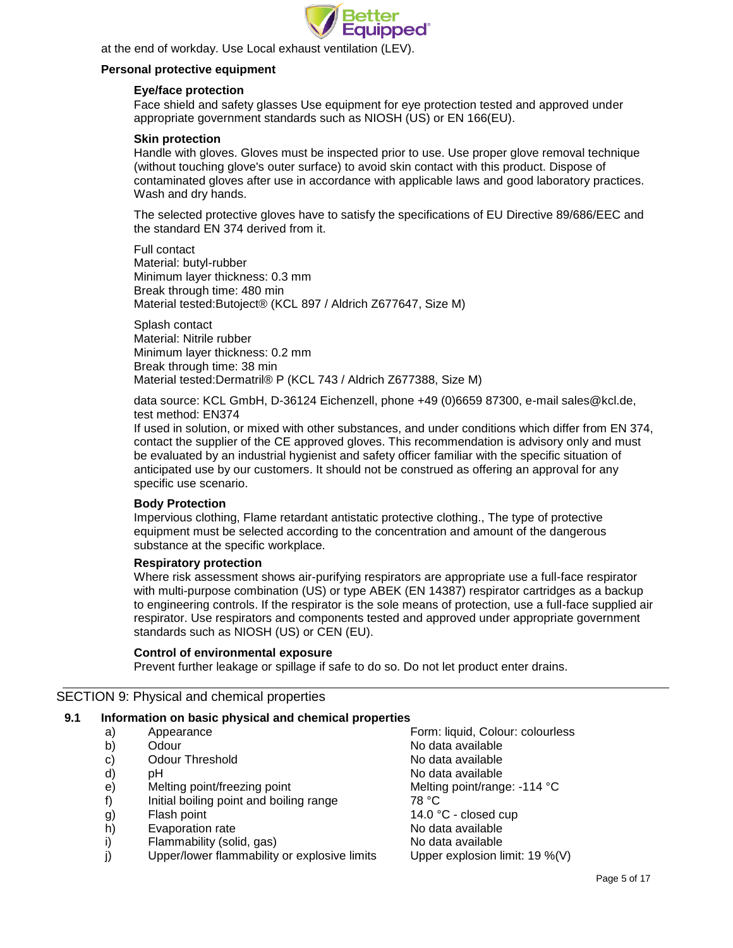

at the end of workday. Use Local exhaust ventilation (LEV).

## **Personal protective equipment**

## **Eye/face protection**

Face shield and safety glasses Use equipment for eye protection tested and approved under appropriate government standards such as NIOSH (US) or EN 166(EU).

## **Skin protection**

Handle with gloves. Gloves must be inspected prior to use. Use proper glove removal technique (without touching glove's outer surface) to avoid skin contact with this product. Dispose of contaminated gloves after use in accordance with applicable laws and good laboratory practices. Wash and dry hands.

The selected protective gloves have to satisfy the specifications of EU Directive 89/686/EEC and the standard EN 374 derived from it.

Full contact Material: butyl-rubber Minimum layer thickness: 0.3 mm Break through time: 480 min Material tested:Butoject® (KCL 897 / Aldrich Z677647, Size M)

Splash contact Material: Nitrile rubber Minimum layer thickness: 0.2 mm Break through time: 38 min Material tested:Dermatril® P (KCL 743 / Aldrich Z677388, Size M)

data source: KCL GmbH, D-36124 Eichenzell, phone +49 (0)6659 87300, e-mail [sales@kcl.de,](mailto:sales@kcl.de) test method: EN374

If used in solution, or mixed with other substances, and under conditions which differ from EN 374, contact the supplier of the CE approved gloves. This recommendation is advisory only and must be evaluated by an industrial hygienist and safety officer familiar with the specific situation of anticipated use by our customers. It should not be construed as offering an approval for any specific use scenario.

## **Body Protection**

Impervious clothing, Flame retardant antistatic protective clothing., The type of protective equipment must be selected according to the concentration and amount of the dangerous substance at the specific workplace.

## **Respiratory protection**

Where risk assessment shows air-purifying respirators are appropriate use a full-face respirator with multi-purpose combination (US) or type ABEK (EN 14387) respirator cartridges as a backup to engineering controls. If the respirator is the sole means of protection, use a full-face supplied air respirator. Use respirators and components tested and approved under appropriate government standards such as NIOSH (US) or CEN (EU).

# **Control of environmental exposure**

Prevent further leakage or spillage if safe to do so. Do not let product enter drains.

# SECTION 9: Physical and chemical properties

## **9.1 Information on basic physical and chemical properties**

- 
- b) Odour No data available
- c) Odour Threshold Collection Controller Collection No data available
- 
- e) Melting point/freezing point Melting point/range: -114 °C
- f) Initial boiling point and boiling range 78 °C
- 
- h) Evaporation rate No data available
- i) Flammability (solid, gas) No data available
- j) Upper/lower flammability or explosive limits Upper explosion limit: 19 %(V)

a) Appearance Form: liquid, Colour: colourless d) pH  $\blacksquare$  pH  $\blacksquare$ g) Flash point 14.0 °C - closed cup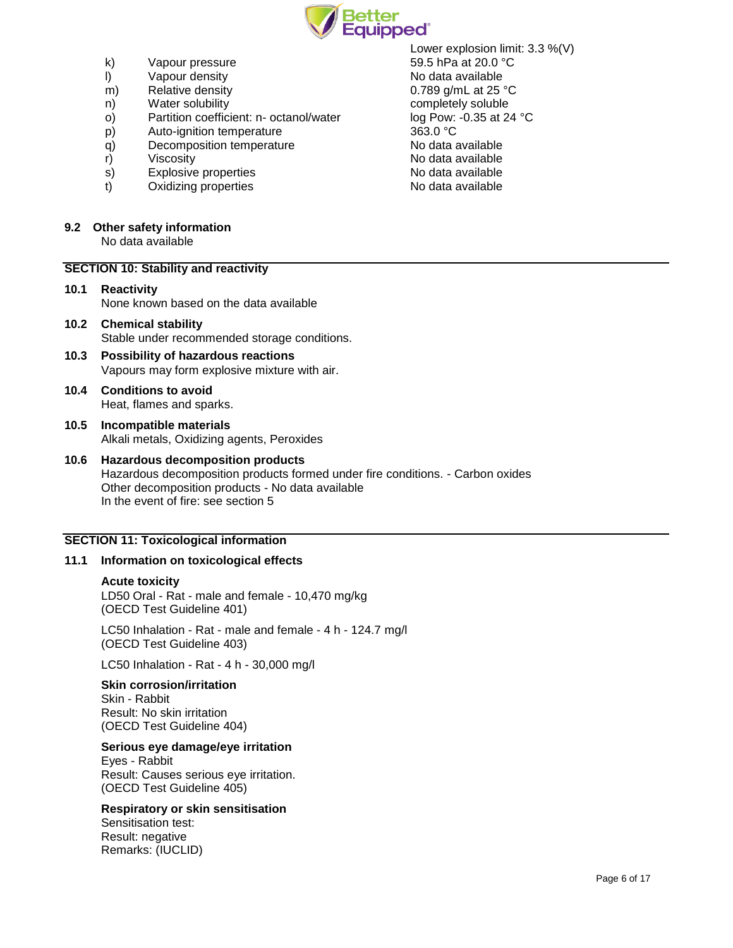

- k) Vapour pressure 69.5 hPa at 20.0 °C
- l) Vapour density No data available
- m) Relative density **but a contract that CO** and CO and CO and CO and CO and CO and CO and CO and CO and CO and CO and CO and CO and CO and CO and CO and CO and CO and CO and CO and CO and CO and CO and CO and CO and CO an
- n) Water solubility completely soluble
- o) Partition coefficient: n- octanol/water log Pow: -0.35 at 24 °C
- p) Auto-ignition temperature 363.0 °C<br>
a) Decomposition temperature 363.0 °C
- q) Decomposition temperature
- 
- 
- t) Oxidizing properties

## **9.2 Other safety information**

No data available

## **SECTION 10: Stability and reactivity**

- **10.1 Reactivity** None known based on the data available
- **10.2 Chemical stability** Stable under recommended storage conditions.
- **10.3 Possibility of hazardous reactions** Vapours may form explosive mixture with air.
- **10.4 Conditions to avoid** Heat, flames and sparks.
- **10.5 Incompatible materials** Alkali metals, Oxidizing agents, Peroxides
- **10.6 Hazardous decomposition products** Hazardous decomposition products formed under fire conditions. - Carbon oxides Other decomposition products - No data available In the event of fire: see section 5

# **SECTION 11: Toxicological information**

## **11.1 Information on toxicological effects**

## **Acute toxicity**

LD50 Oral - Rat - male and female - 10,470 mg/kg (OECD Test Guideline 401)

LC50 Inhalation - Rat - male and female - 4 h - 124.7 mg/l (OECD Test Guideline 403)

LC50 Inhalation - Rat - 4 h - 30,000 mg/l

## **Skin corrosion/irritation**

Skin - Rabbit Result: No skin irritation (OECD Test Guideline 404)

## **Serious eye damage/eye irritation**

Eyes - Rabbit Result: Causes serious eye irritation. (OECD Test Guideline 405)

# **Respiratory or skin sensitisation**

Sensitisation test: Result: negative Remarks: (IUCLID)

Lower explosion limit: 3.3 %(V) r) Viscosity **Viscosity**<br>
S) Explosive properties **No data available** S) Explosive properties s) Explosive properties and the No data available to the No data available to the No data available states of the No data available to the No data available states of the No data available states of the No data available s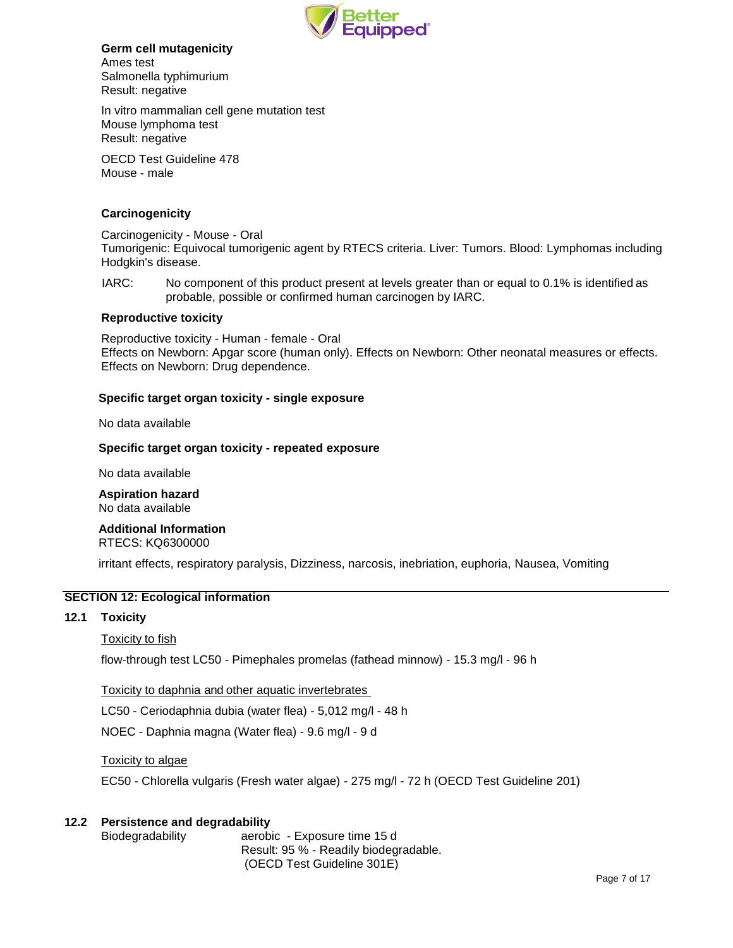

## **Germ cell mutagenicity**

Ames test Salmonella typhimurium Result: negative

In vitro mammalian cell gene mutation test Mouse lymphoma test Result: negative

OECD Test Guideline 478 Mouse - male

# **Carcinogenicity**

Carcinogenicity - Mouse - Oral Tumorigenic: Equivocal tumorigenic agent by RTECS criteria. Liver: Tumors. Blood: Lymphomas including Hodgkin's disease.

IARC: No component of this product present at levels greater than or equal to 0.1% is identified as probable, possible or confirmed human carcinogen by IARC.

## **Reproductive toxicity**

Reproductive toxicity - Human - female - Oral Effects on Newborn: Apgar score (human only). Effects on Newborn: Other neonatal measures or effects. Effects on Newborn: Drug dependence.

# **Specific target organ toxicity - single exposure**

No data available

## **Specific target organ toxicity - repeated exposure**

No data available

**Aspiration hazard** No data available

**Additional Information**

RTECS: KQ6300000

irritant effects, respiratory paralysis, Dizziness, narcosis, inebriation, euphoria, Nausea, Vomiting

# **SECTION 12: Ecological information**

## **12.1 Toxicity**

# Toxicity to fish

flow-through test LC50 - Pimephales promelas (fathead minnow) - 15.3 mg/l - 96 h

Toxicity to daphnia and other aquatic invertebrates

LC50 - Ceriodaphnia dubia (water flea) - 5,012 mg/l - 48 h

NOEC - Daphnia magna (Water flea) - 9.6 mg/l - 9 d

Toxicity to algae

EC50 - Chlorella vulgaris (Fresh water algae) - 275 mg/l - 72 h (OECD Test Guideline 201)

# **12.2 Persistence and degradability**

Biodegradability aerobic - Exposure time 15 d Result: 95 % - Readily biodegradable. (OECD Test Guideline 301E)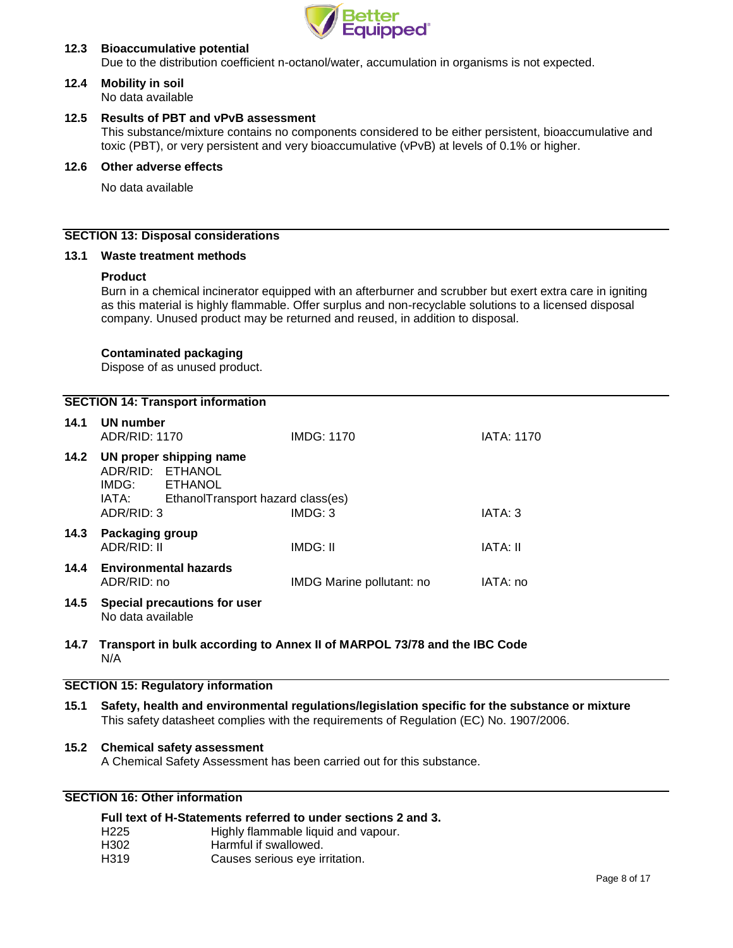

# **12.3 Bioaccumulative potential**

Due to the distribution coefficient n-octanol/water, accumulation in organisms is not expected.

#### **12.4 Mobility in soil** No data available

## **12.5 Results of PBT and vPvB assessment**

This substance/mixture contains no components considered to be either persistent, bioaccumulative and toxic (PBT), or very persistent and very bioaccumulative (vPvB) at levels of 0.1% or higher.

# **12.6 Other adverse effects**

No data available

## **SECTION 13: Disposal considerations**

## **13.1 Waste treatment methods**

# **Product**

Burn in a chemical incinerator equipped with an afterburner and scrubber but exert extra care in igniting as this material is highly flammable. Offer surplus and non-recyclable solutions to a licensed disposal company. Unused product may be returned and reused, in addition to disposal.

## **Contaminated packaging**

Dispose of as unused product.

|  | <b>SECTION 14: Transport information</b> |  |
|--|------------------------------------------|--|
|--|------------------------------------------|--|

| 14.1 | UN number<br>ADR/RID: 1170                                                                                                  | IMDG: 1170                | <b>IATA: 1170</b> |
|------|-----------------------------------------------------------------------------------------------------------------------------|---------------------------|-------------------|
| 14.2 | UN proper shipping name<br>ADR/RID: ETHANOL<br>IMDG:<br>ETHANOL<br>IATA:<br>EthanolTransport hazard class(es)<br>ADR/RID: 3 | IMDG: 3                   | IATA: 3           |
| 14.3 | <b>Packaging group</b><br>ADR/RID: II                                                                                       | IMDG: II                  | IATA: II          |
| 14.4 | <b>Environmental hazards</b><br>ADR/RID: no                                                                                 | IMDG Marine pollutant: no | IATA: no          |
| 14.5 | Special precautions for user<br>No data available                                                                           |                           |                   |

**14.7 Transport in bulk according to Annex II of MARPOL 73/78 and the IBC Code** N/A

## **SECTION 15: Regulatory information**

**15.1 Safety, health and environmental regulations/legislation specific for the substance or mixture** This safety datasheet complies with the requirements of Regulation (EC) No. 1907/2006.

# **15.2 Chemical safety assessment**

A Chemical Safety Assessment has been carried out for this substance.

# **SECTION 16: Other information**

| Full text of H-Statements referred to under sections 2 and 3. |                                     |  |
|---------------------------------------------------------------|-------------------------------------|--|
| H <sub>225</sub>                                              | Highly flammable liquid and vapour. |  |
| H302                                                          | Harmful if swallowed.               |  |
| H <sub>3</sub> 19                                             | Causes serious eye irritation.      |  |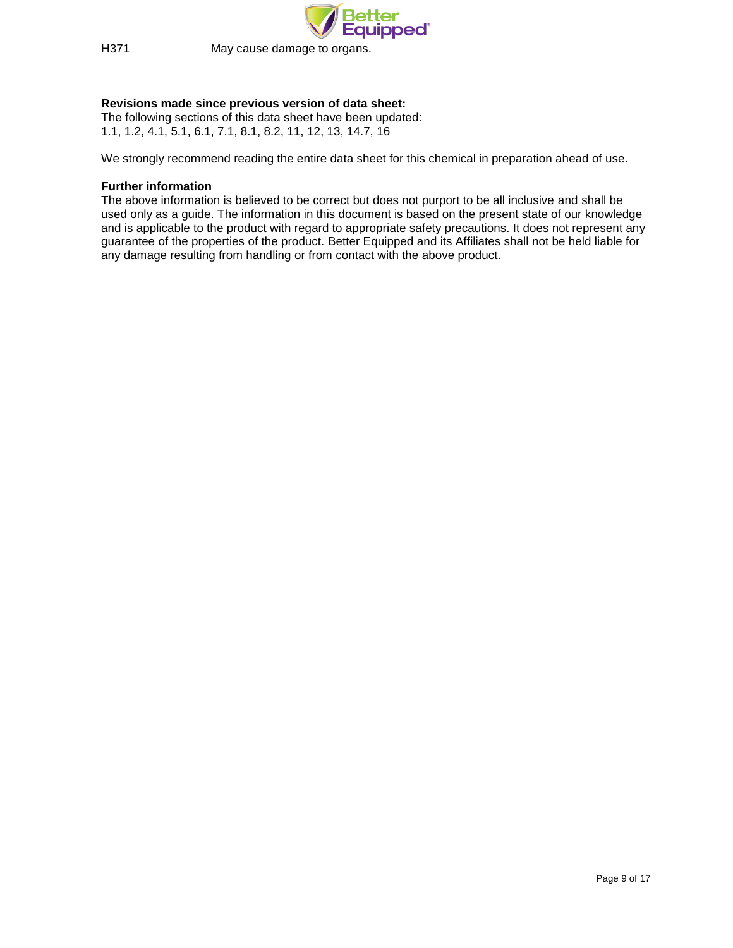

H371 May cause damage to organs.

# **Revisions made since previous version of data sheet:**

The following sections of this data sheet have been updated: 1.1, 1.2, 4.1, 5.1, 6.1, 7.1, 8.1, 8.2, 11, 12, 13, 14.7, 16

We strongly recommend reading the entire data sheet for this chemical in preparation ahead of use.

## **Further information**

The above information is believed to be correct but does not purport to be all inclusive and shall be used only as a guide. The information in this document is based on the present state of our knowledge and is applicable to the product with regard to appropriate safety precautions. It does not represent any guarantee of the properties of the product. Better Equipped and its Affiliates shall not be held liable for any damage resulting from handling or from contact with the above product.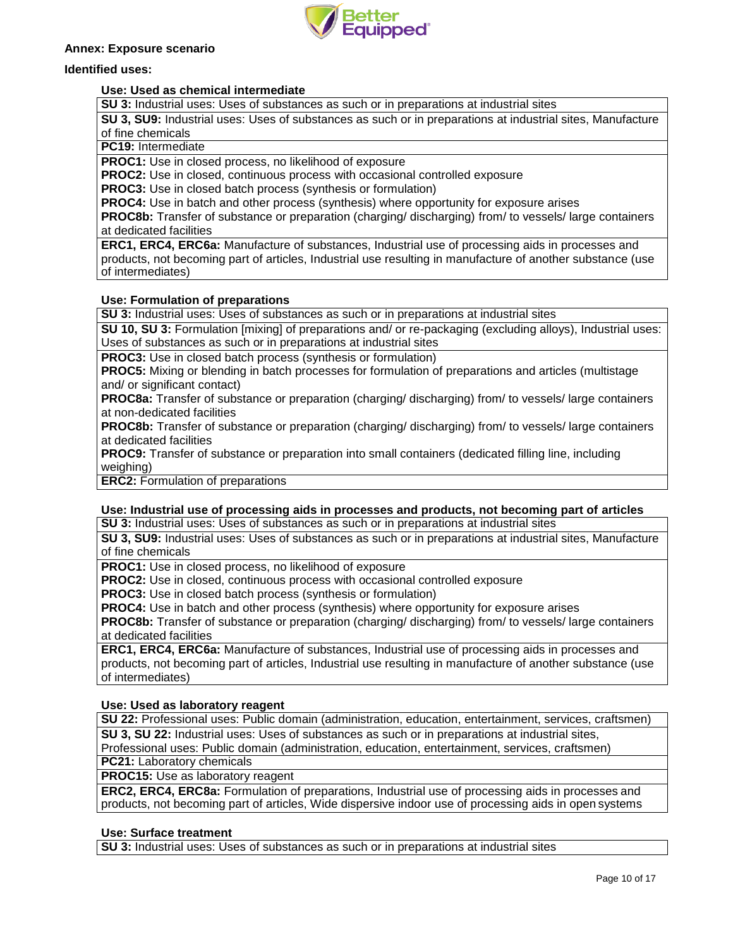

## **Annex: Exposure scenario**

## **Identified uses:**

## **Use: Used as chemical intermediate**

**SU 3:** Industrial uses: Uses of substances as such or in preparations at industrial sites

**SU 3, SU9:** Industrial uses: Uses of substances as such or in preparations at industrial sites, Manufacture of fine chemicals

**PC19:** Intermediate

**PROC1:** Use in closed process, no likelihood of exposure

**PROC2:** Use in closed, continuous process with occasional controlled exposure

**PROC3:** Use in closed batch process (synthesis or formulation)

**PROC4:** Use in batch and other process (synthesis) where opportunity for exposure arises

**PROC8b:** Transfer of substance or preparation (charging/ discharging) from/ to vessels/ large containers at dedicated facilities

**ERC1, ERC4, ERC6a:** Manufacture of substances, Industrial use of processing aids in processes and products, not becoming part of articles, Industrial use resulting in manufacture of another substance (use of intermediates)

## **Use: Formulation of preparations**

**SU 3:** Industrial uses: Uses of substances as such or in preparations at industrial sites

**SU 10, SU 3:** Formulation [mixing] of preparations and/ or re-packaging (excluding alloys), Industrial uses: Uses of substances as such or in preparations at industrial sites

**PROC3:** Use in closed batch process (synthesis or formulation)

**PROC5:** Mixing or blending in batch processes for formulation of preparations and articles (multistage and/ or significant contact)

**PROC8a:** Transfer of substance or preparation (charging/ discharging) from/ to vessels/ large containers at non-dedicated facilities

**PROC8b:** Transfer of substance or preparation (charging/ discharging) from/ to vessels/ large containers at dedicated facilities

**PROC9:** Transfer of substance or preparation into small containers (dedicated filling line, including weighing)

**ERC2:** Formulation of preparations

# **Use: Industrial use of processing aids in processes and products, not becoming part of articles**

**SU 3:** Industrial uses: Uses of substances as such or in preparations at industrial sites

**SU 3, SU9:** Industrial uses: Uses of substances as such or in preparations at industrial sites, Manufacture of fine chemicals

**PROC1:** Use in closed process, no likelihood of exposure

**PROC2:** Use in closed, continuous process with occasional controlled exposure

**PROC3:** Use in closed batch process (synthesis or formulation)

**PROC4:** Use in batch and other process (synthesis) where opportunity for exposure arises

**PROC8b:** Transfer of substance or preparation (charging/ discharging) from/ to vessels/ large containers at dedicated facilities

**ERC1, ERC4, ERC6a:** Manufacture of substances, Industrial use of processing aids in processes and products, not becoming part of articles, Industrial use resulting in manufacture of another substance (use of intermediates)

# **Use: Used as laboratory reagent**

**SU 22:** Professional uses: Public domain (administration, education, entertainment, services, craftsmen) **SU 3, SU 22:** Industrial uses: Uses of substances as such or in preparations at industrial sites,

Professional uses: Public domain (administration, education, entertainment, services, craftsmen) **PC21:** Laboratory chemicals

**PROC15:** Use as laboratory reagent

**ERC2, ERC4, ERC8a:** Formulation of preparations, Industrial use of processing aids in processes and products, not becoming part of articles, Wide dispersive indoor use of processing aids in open systems

# **Use: Surface treatment**

**SU 3:** Industrial uses: Uses of substances as such or in preparations at industrial sites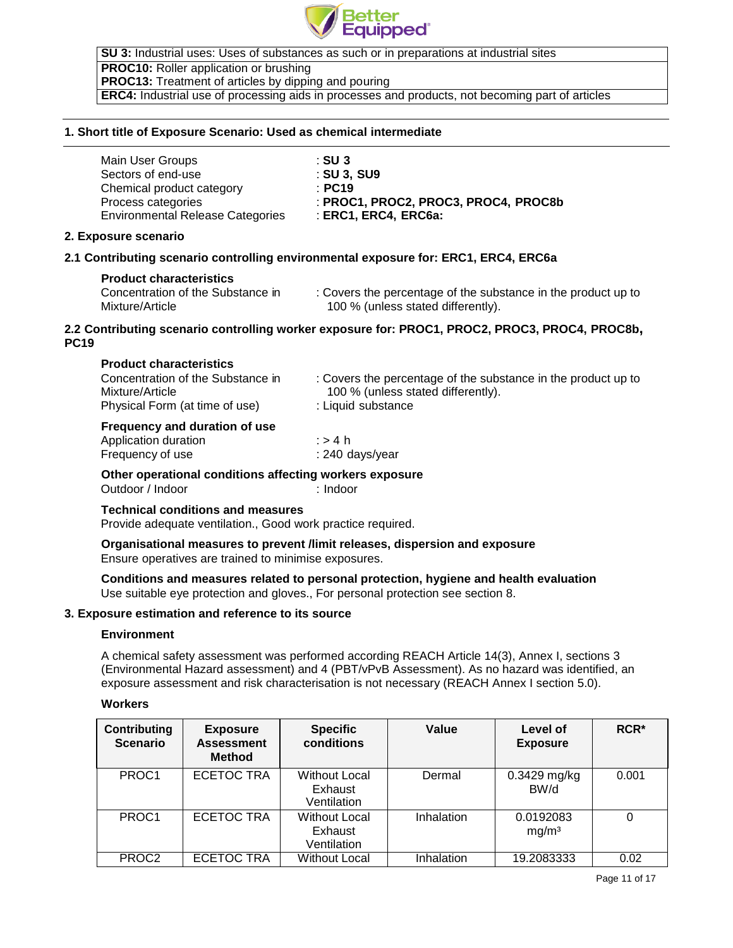

**SU 3:** Industrial uses: Uses of substances as such or in preparations at industrial sites **PROC10:** Roller application or brushing **PROC13:** Treatment of articles by dipping and pouring **ERC4:** Industrial use of processing aids in processes and products, not becoming part of articles

## **1. Short title of Exposure Scenario: Used as chemical intermediate**

| Main User Groups                        | ∴SU 3                                |
|-----------------------------------------|--------------------------------------|
| Sectors of end-use                      | : SU 3. SU9                          |
| Chemical product category               | $\pm$ PC19                           |
| Process categories                      | : PROC1, PROC2, PROC3, PROC4, PROC8b |
| <b>Environmental Release Categories</b> | $\pm$ ERC1, ERC4, ERC6a:             |

# **2. Exposure scenario**

# **2.1 Contributing scenario controlling environmental exposure for: ERC1, ERC4, ERC6a**

## **Product characteristics**

Concentration of the Substance in Mixture/Article

: Covers the percentage of the substance in the product up to 100 % (unless stated differently).

# **2.2 Contributing scenario controlling worker exposure for: PROC1, PROC2, PROC3, PROC4, PROC8b, PC19**

| Frequency and duration of use     |                                                               |
|-----------------------------------|---------------------------------------------------------------|
| Physical Form (at time of use)    | : Liquid substance                                            |
| Mixture/Article                   | 100 % (unless stated differently).                            |
| Concentration of the Substance in | : Covers the percentage of the substance in the product up to |
|                                   |                                                               |

# **Frequency and duration of use**

| Application duration | ∶>4 h           |
|----------------------|-----------------|
| Frequency of use     | : 240 days/year |

## **Other operational conditions affecting workers exposure**

Outdoor / Indoor : Indoor

# **Technical conditions and measures**

Provide adequate ventilation., Good work practice required.

## **Organisational measures to prevent /limit releases, dispersion and exposure** Ensure operatives are trained to minimise exposures.

# **Conditions and measures related to personal protection, hygiene and health evaluation** Use suitable eye protection and gloves., For personal protection see section 8.

## **3. Exposure estimation and reference to its source**

## **Environment**

A chemical safety assessment was performed according REACH Article 14(3), Annex I, sections 3 (Environmental Hazard assessment) and 4 (PBT/vPvB Assessment). As no hazard was identified, an exposure assessment and risk characterisation is not necessary (REACH Annex I section 5.0).

## **Workers**

| <b>Contributing</b><br><b>Scenario</b> | <b>Exposure</b><br><b>Assessment</b><br><b>Method</b> | <b>Specific</b><br>conditions                  | Value      | Level of<br><b>Exposure</b>    | $RCR*$ |
|----------------------------------------|-------------------------------------------------------|------------------------------------------------|------------|--------------------------------|--------|
| PROC1                                  | <b>ECETOC TRA</b>                                     | <b>Without Local</b><br>Exhaust<br>Ventilation | Dermal     | $0.3429$ mg/kg<br>BW/d         | 0.001  |
| PROC <sub>1</sub>                      | <b>ECETOC TRA</b>                                     | <b>Without Local</b><br>Exhaust<br>Ventilation | Inhalation | 0.0192083<br>mg/m <sup>3</sup> | 0      |
| PROC <sub>2</sub>                      | <b>ECETOC TRA</b>                                     | <b>Without Local</b>                           | Inhalation | 19.2083333                     | 0.02   |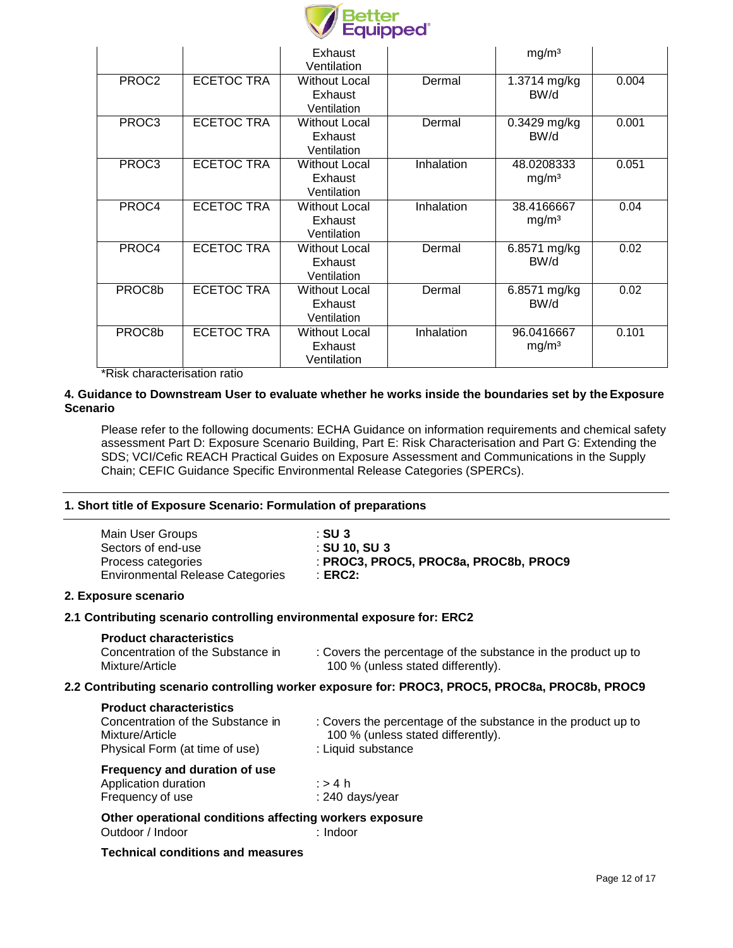

|                   |                   | Exhaust<br>Ventilation                         |            | mg/m <sup>3</sup>                 |       |
|-------------------|-------------------|------------------------------------------------|------------|-----------------------------------|-------|
| PROC <sub>2</sub> | <b>ECETOC TRA</b> | <b>Without Local</b><br>Exhaust<br>Ventilation | Dermal     | $\overline{1.3714}$ mg/kg<br>BW/d | 0.004 |
| PROC3             | <b>ECETOC TRA</b> | <b>Without Local</b><br>Exhaust<br>Ventilation | Dermal     | $0.3429$ mg/kg<br>BW/d            | 0.001 |
| PROC3             | <b>ECETOC TRA</b> | <b>Without Local</b><br>Exhaust<br>Ventilation | Inhalation | 48.0208333<br>mg/m <sup>3</sup>   | 0.051 |
| PROC4             | <b>ECETOC TRA</b> | <b>Without Local</b><br>Exhaust<br>Ventilation | Inhalation | 38.4166667<br>mg/m <sup>3</sup>   | 0.04  |
| PROC4             | <b>ECETOC TRA</b> | <b>Without Local</b><br>Exhaust<br>Ventilation | Dermal     | 6.8571 mg/kg<br>BW/d              | 0.02  |
| PROC8b            | <b>ECETOC TRA</b> | <b>Without Local</b><br>Exhaust<br>Ventilation | Dermal     | 6.8571 mg/kg<br>BW/d              | 0.02  |
| PROC8b            | <b>ECETOC TRA</b> | <b>Without Local</b><br>Exhaust<br>Ventilation | Inhalation | 96.0416667<br>mg/m <sup>3</sup>   | 0.101 |

\*Risk characterisation ratio

# **4. Guidance to Downstream User to evaluate whether he works inside the boundaries set by the Exposure Scenario**

Please refer to the following documents: ECHA Guidance on information requirements and chemical safety assessment Part D: Exposure Scenario Building, Part E: Risk Characterisation and Part G: Extending the SDS; VCI/Cefic REACH Practical Guides on Exposure Assessment and Communications in the Supply Chain; CEFIC Guidance Specific Environmental Release Categories (SPERCs).

# **1. Short title of Exposure Scenario: Formulation of preparations**

| Main User Groups                        | $\pm$ SU 3                            |
|-----------------------------------------|---------------------------------------|
| Sectors of end-use                      | $\div$ SU 10. SU 3                    |
| Process categories                      | : PROC3, PROC5, PROC8a, PROC8b, PROC9 |
| <b>Environmental Release Categories</b> | ∶ERC2:                                |

# **2. Exposure scenario**

# **2.1 Contributing scenario controlling environmental exposure for: ERC2**

**Product characteristics**

| Concentration of the Substance in | : Covers the percentage of the substance in the product up to |
|-----------------------------------|---------------------------------------------------------------|
| Mixture/Article                   | 100 % (unless stated differently).                            |

# **2.2 Contributing scenario controlling worker exposure for: PROC3, PROC5, PROC8a, PROC8b, PROC9**

| <b>Product characteristics</b>    |                                                               |
|-----------------------------------|---------------------------------------------------------------|
| Concentration of the Substance in | : Covers the percentage of the substance in the product up to |
| Mixture/Article                   | 100 % (unless stated differently).                            |
| Physical Form (at time of use)    | : Liquid substance                                            |
| Frequency and duration of use     |                                                               |
| Application duration              | ∴⇒4 h                                                         |

| Application duration | ∶>4 h           |
|----------------------|-----------------|
| Frequency of use     | : 240 days/year |
|                      |                 |

**Other operational conditions affecting workers exposure** Outdoor / Indoor : Indoor

# **Technical conditions and measures**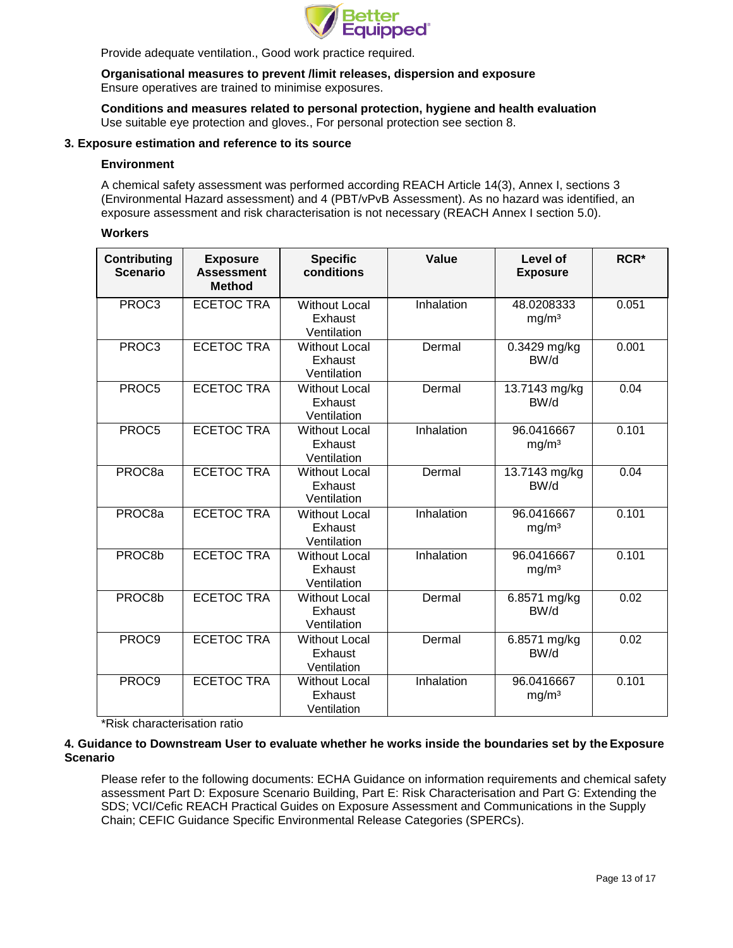

Provide adequate ventilation., Good work practice required.

**Organisational measures to prevent /limit releases, dispersion and exposure** Ensure operatives are trained to minimise exposures.

**Conditions and measures related to personal protection, hygiene and health evaluation** Use suitable eye protection and gloves., For personal protection see section 8.

## **3. Exposure estimation and reference to its source**

#### **Environment**

A chemical safety assessment was performed according REACH Article 14(3), Annex I, sections 3 (Environmental Hazard assessment) and 4 (PBT/vPvB Assessment). As no hazard was identified, an exposure assessment and risk characterisation is not necessary (REACH Annex I section 5.0).

## **Workers**

| <b>Contributing</b><br><b>Scenario</b> | <b>Exposure</b><br><b>Assessment</b><br><b>Method</b> | <b>Specific</b><br>conditions                  | Value      | Level of<br><b>Exposure</b>     | RCR <sup>*</sup> |
|----------------------------------------|-------------------------------------------------------|------------------------------------------------|------------|---------------------------------|------------------|
| PROC3                                  | <b>ECETOC TRA</b>                                     | <b>Without Local</b><br>Exhaust<br>Ventilation | Inhalation | 48.0208333<br>mg/m <sup>3</sup> | 0.051            |
| PROC3                                  | <b>ECETOC TRA</b>                                     | <b>Without Local</b><br>Exhaust<br>Ventilation | Dermal     | 0.3429 mg/kg<br>BW/d            | 0.001            |
| PROC <sub>5</sub>                      | <b>ECETOC TRA</b>                                     | <b>Without Local</b><br>Exhaust<br>Ventilation | Dermal     | 13.7143 mg/kg<br>BW/d           | 0.04             |
| PROC5                                  | <b>ECETOC TRA</b>                                     | <b>Without Local</b><br>Exhaust<br>Ventilation | Inhalation | 96.0416667<br>mg/m <sup>3</sup> | 0.101            |
| PROC <sub>8a</sub>                     | <b>ECETOC TRA</b>                                     | <b>Without Local</b><br>Exhaust<br>Ventilation | Dermal     | 13.7143 mg/kg<br>BW/d           | 0.04             |
| PROC <sub>8a</sub>                     | <b>ECETOC TRA</b>                                     | <b>Without Local</b><br>Exhaust<br>Ventilation | Inhalation | 96.0416667<br>mg/m <sup>3</sup> | 0.101            |
| PROC8b                                 | <b>ECETOC TRA</b>                                     | <b>Without Local</b><br>Exhaust<br>Ventilation | Inhalation | 96.0416667<br>mg/m <sup>3</sup> | 0.101            |
| PROC8b                                 | <b>ECETOC TRA</b>                                     | <b>Without Local</b><br>Exhaust<br>Ventilation | Dermal     | 6.8571 mg/kg<br>BW/d            | 0.02             |
| PROC <sub>9</sub>                      | <b>ECETOC TRA</b>                                     | <b>Without Local</b><br>Exhaust<br>Ventilation | Dermal     | 6.8571 mg/kg<br>BW/d            | 0.02             |
| PROC9                                  | <b>ECETOC TRA</b>                                     | <b>Without Local</b><br>Exhaust<br>Ventilation | Inhalation | 96.0416667<br>mg/m <sup>3</sup> | 0.101            |

\*Risk characterisation ratio

# **4. Guidance to Downstream User to evaluate whether he works inside the boundaries set by the Exposure Scenario**

Please refer to the following documents: ECHA Guidance on information requirements and chemical safety assessment Part D: Exposure Scenario Building, Part E: Risk Characterisation and Part G: Extending the SDS; VCI/Cefic REACH Practical Guides on Exposure Assessment and Communications in the Supply Chain; CEFIC Guidance Specific Environmental Release Categories (SPERCs).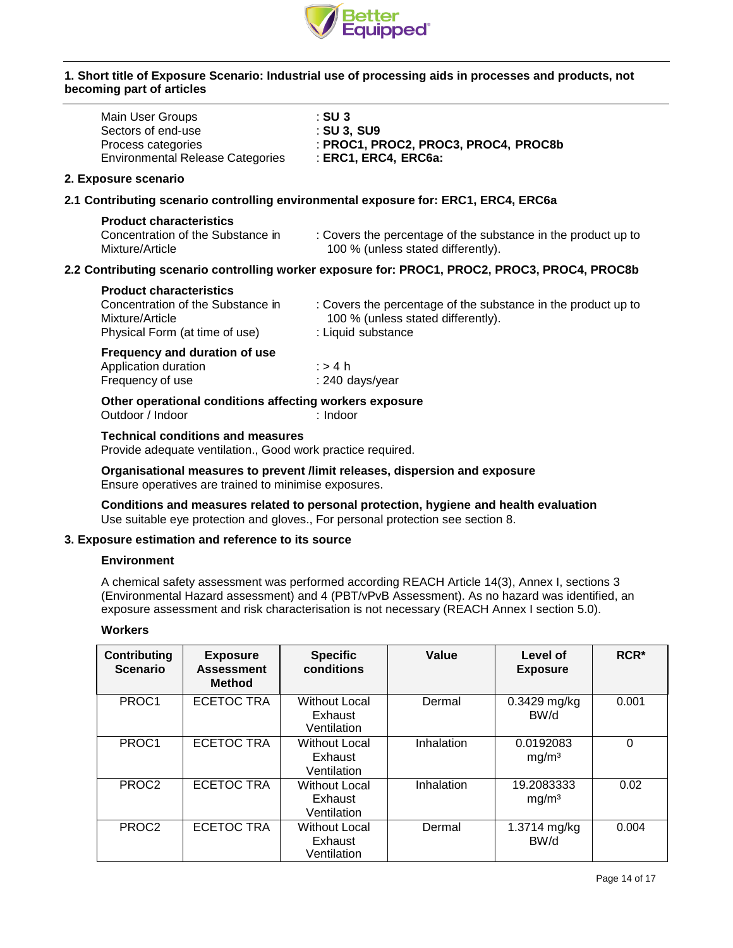

## **1. Short title of Exposure Scenario: Industrial use of processing aids in processes and products, not becoming part of articles**

| Main User Groups<br>Sectors of end-use                                                                                   | : SU 3                                                                                                                    |
|--------------------------------------------------------------------------------------------------------------------------|---------------------------------------------------------------------------------------------------------------------------|
| Process categories<br><b>Environmental Release Categories</b>                                                            | : SU 3, SU9<br>: PROC1, PROC2, PROC3, PROC4, PROC8b<br>: ERC1, ERC4, ERC6a:                                               |
| 2. Exposure scenario                                                                                                     |                                                                                                                           |
|                                                                                                                          | 2.1 Contributing scenario controlling environmental exposure for: ERC1, ERC4, ERC6a                                       |
| <b>Product characteristics</b><br>Concentration of the Substance in<br>Mixture/Article                                   | : Covers the percentage of the substance in the product up to<br>100 % (unless stated differently).                       |
|                                                                                                                          | 2.2 Contributing scenario controlling worker exposure for: PROC1, PROC2, PROC3, PROC4, PROC8b                             |
| <b>Product characteristics</b><br>Concentration of the Substance in<br>Mixture/Article<br>Physical Form (at time of use) | : Covers the percentage of the substance in the product up to<br>100 % (unless stated differently).<br>: Liquid substance |
| Frequency and duration of use<br>Application duration                                                                    | $:$ > 4 h                                                                                                                 |

**Other operational conditions affecting workers exposure** Outdoor / Indoor : Indoor : Indoor

Frequency of use : 240 days/year

## **Technical conditions and measures**

Provide adequate ventilation., Good work practice required.

**Organisational measures to prevent /limit releases, dispersion and exposure** Ensure operatives are trained to minimise exposures.

**Conditions and measures related to personal protection, hygiene and health evaluation** Use suitable eye protection and gloves., For personal protection see section 8.

## **3. Exposure estimation and reference to its source**

## **Environment**

A chemical safety assessment was performed according REACH Article 14(3), Annex I, sections 3 (Environmental Hazard assessment) and 4 (PBT/vPvB Assessment). As no hazard was identified, an exposure assessment and risk characterisation is not necessary (REACH Annex I section 5.0).

# **Workers**

| <b>Contributing</b><br><b>Scenario</b> | <b>Exposure</b><br><b>Assessment</b><br><b>Method</b> | <b>Specific</b><br>conditions                  | Value      | Level of<br><b>Exposure</b>     | RCR*  |
|----------------------------------------|-------------------------------------------------------|------------------------------------------------|------------|---------------------------------|-------|
| PROC <sub>1</sub>                      | ECETOC TRA                                            | <b>Without Local</b><br>Exhaust<br>Ventilation | Dermal     | $0.3429$ mg/kg<br>BW/d          | 0.001 |
| PROC <sub>1</sub>                      | <b>ECETOC TRA</b>                                     | <b>Without Local</b><br>Exhaust<br>Ventilation | Inhalation | 0.0192083<br>mg/m <sup>3</sup>  | 0     |
| PROC <sub>2</sub>                      | <b>ECETOC TRA</b>                                     | <b>Without Local</b><br>Exhaust<br>Ventilation | Inhalation | 19.2083333<br>mg/m <sup>3</sup> | 0.02  |
| PROC <sub>2</sub>                      | <b>ECETOC TRA</b>                                     | Without Local<br>Exhaust<br>Ventilation        | Dermal     | 1.3714 mg/kg<br>BW/d            | 0.004 |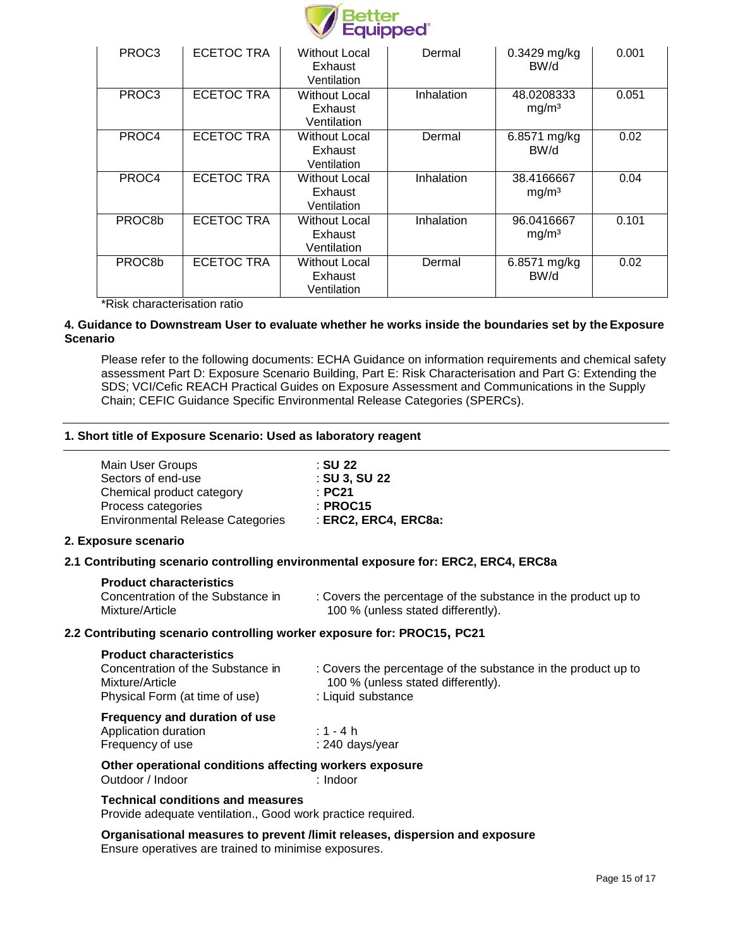

| PROC <sub>3</sub> | <b>ECETOC TRA</b> | Without Local<br>Exhaust<br>Ventilation        | Dermal     | $0.3429$ mg/kg<br>BW/d          | 0.001 |
|-------------------|-------------------|------------------------------------------------|------------|---------------------------------|-------|
| PROC <sub>3</sub> | <b>ECETOC TRA</b> | Without Local<br>Exhaust<br>Ventilation        | Inhalation | 48.0208333<br>mg/m <sup>3</sup> | 0.051 |
| PROC4             | <b>ECETOC TRA</b> | Without Local<br>Exhaust<br>Ventilation        | Dermal     | 6.8571 mg/kg<br>BW/d            | 0.02  |
| PROC4             | <b>ECETOC TRA</b> | <b>Without Local</b><br>Exhaust<br>Ventilation | Inhalation | 38.4166667<br>mg/m <sup>3</sup> | 0.04  |
| PROC8b            | <b>ECETOC TRA</b> | <b>Without Local</b><br>Exhaust<br>Ventilation | Inhalation | 96.0416667<br>mg/m <sup>3</sup> | 0.101 |
| PROC8b            | <b>ECETOC TRA</b> | Without Local<br>Exhaust<br>Ventilation        | Dermal     | 6.8571 mg/kg<br>BW/d            | 0.02  |

\*Risk characterisation ratio

## **4. Guidance to Downstream User to evaluate whether he works inside the boundaries set by the Exposure Scenario**

Please refer to the following documents: ECHA Guidance on information requirements and chemical safety assessment Part D: Exposure Scenario Building, Part E: Risk Characterisation and Part G: Extending the SDS; VCI/Cefic REACH Practical Guides on Exposure Assessment and Communications in the Supply Chain; CEFIC Guidance Specific Environmental Release Categories (SPERCs).

# **1. Short title of Exposure Scenario: Used as laboratory reagent**

| : SU 22              |
|----------------------|
| : SU 3, SU 22        |
| : PC21               |
| $:$ PROC15           |
| : ERC2, ERC4, ERC8a: |
|                      |

# **2. Exposure scenario**

# **2.1 Contributing scenario controlling environmental exposure for: ERC2, ERC4, ERC8a**

| : Covers the percentage of the substance in the product up to<br>100 % (unless stated differently). |
|-----------------------------------------------------------------------------------------------------|
|                                                                                                     |

# **2.2 Contributing scenario controlling worker exposure for: PROC15, PC21**

| <b>Product characteristics</b>                                                         |                                                                                                                           |
|----------------------------------------------------------------------------------------|---------------------------------------------------------------------------------------------------------------------------|
| Concentration of the Substance in<br>Mixture/Article<br>Physical Form (at time of use) | : Covers the percentage of the substance in the product up to<br>100 % (unless stated differently).<br>: Liquid substance |
| Frequency and duration of use                                                          |                                                                                                                           |
| Application duration                                                                   | : 1 - 4 h                                                                                                                 |
| Frequency of use                                                                       | : 240 days/year                                                                                                           |
| Other operational conditions affecting workers exposure                                |                                                                                                                           |
| Outdoor / Indoor                                                                       | : Indoor                                                                                                                  |
| <b>Technical conditions and measures</b>                                               |                                                                                                                           |
|                                                                                        |                                                                                                                           |

Provide adequate ventilation., Good work practice required.

**Organisational measures to prevent /limit releases, dispersion and exposure** Ensure operatives are trained to minimise exposures.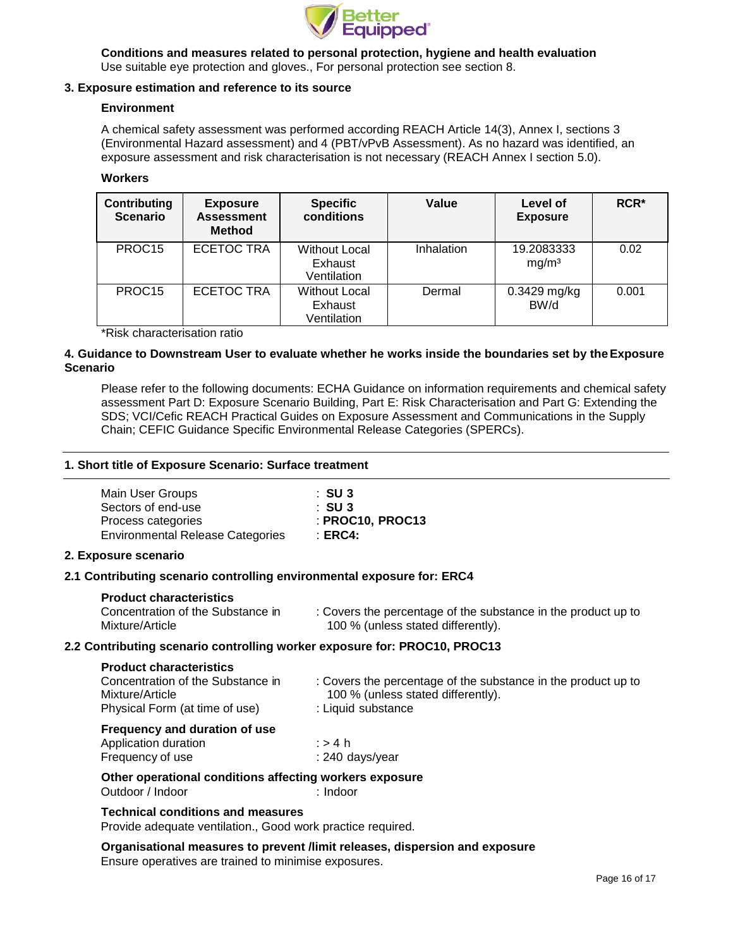

**Conditions and measures related to personal protection, hygiene and health evaluation** Use suitable eye protection and gloves., For personal protection see section 8.

# **3. Exposure estimation and reference to its source**

## **Environment**

A chemical safety assessment was performed according REACH Article 14(3), Annex I, sections 3 (Environmental Hazard assessment) and 4 (PBT/vPvB Assessment). As no hazard was identified, an exposure assessment and risk characterisation is not necessary (REACH Annex I section 5.0).

## **Workers**

| <b>Contributing</b><br><b>Scenario</b> | <b>Exposure</b><br><b>Assessment</b><br><b>Method</b> | <b>Specific</b><br>conditions                  | Value      | Level of<br><b>Exposure</b>     | $RCR*$ |
|----------------------------------------|-------------------------------------------------------|------------------------------------------------|------------|---------------------------------|--------|
| PROC <sub>15</sub>                     | <b>ECETOC TRA</b>                                     | <b>Without Local</b><br>Exhaust<br>Ventilation | Inhalation | 19.2083333<br>mg/m <sup>3</sup> | 0.02   |
| PROC <sub>15</sub>                     | <b>ECETOC TRA</b>                                     | <b>Without Local</b><br>Exhaust<br>Ventilation | Dermal     | 0.3429 mg/kg<br>BW/d            | 0.001  |

\*Risk characterisation ratio

# **4. Guidance to Downstream User to evaluate whether he works inside the boundaries set by theExposure Scenario**

Please refer to the following documents: ECHA Guidance on information requirements and chemical safety assessment Part D: Exposure Scenario Building, Part E: Risk Characterisation and Part G: Extending the SDS; VCI/Cefic REACH Practical Guides on Exposure Assessment and Communications in the Supply Chain; CEFIC Guidance Specific Environmental Release Categories (SPERCs).

# **1. Short title of Exposure Scenario: Surface treatment**

| Main User Groups                        | :SU 3              |
|-----------------------------------------|--------------------|
| Sectors of end-use                      | :SU 3              |
| Process categories                      | : PROC10, PROC13   |
| <b>Environmental Release Categories</b> | $\therefore$ ERC4: |

# **2. Exposure scenario**

# **2.1 Contributing scenario controlling environmental exposure for: ERC4**

## **Product characteristics**

| Concentration of the Substance in |  |
|-----------------------------------|--|
| Mixture/Article                   |  |

: Covers the percentage of the substance in the product up to 100 % (unless stated differently).

# **2.2 Contributing scenario controlling worker exposure for: PROC10, PROC13**

| <b>Product characteristics</b> |  |
|--------------------------------|--|
|--------------------------------|--|

| Concentration of the Substance in                     | : Covers the percentage of the substance in the product up to |  |
|-------------------------------------------------------|---------------------------------------------------------------|--|
| Mixture/Article                                       | 100 % (unless stated differently).                            |  |
| Physical Form (at time of use)                        | : Liquid substance                                            |  |
| Frequency and duration of use<br>Application duration | . . <i>.</i>                                                  |  |

| Application duration | ∶>4 h           |
|----------------------|-----------------|
| Frequency of use     | : 240 days/year |

**Other operational conditions affecting workers exposure** Outdoor / Indoor : Indoor : Indoor

## **Technical conditions and measures**

Provide adequate ventilation., Good work practice required.

**Organisational measures to prevent /limit releases, dispersion and exposure** Ensure operatives are trained to minimise exposures.